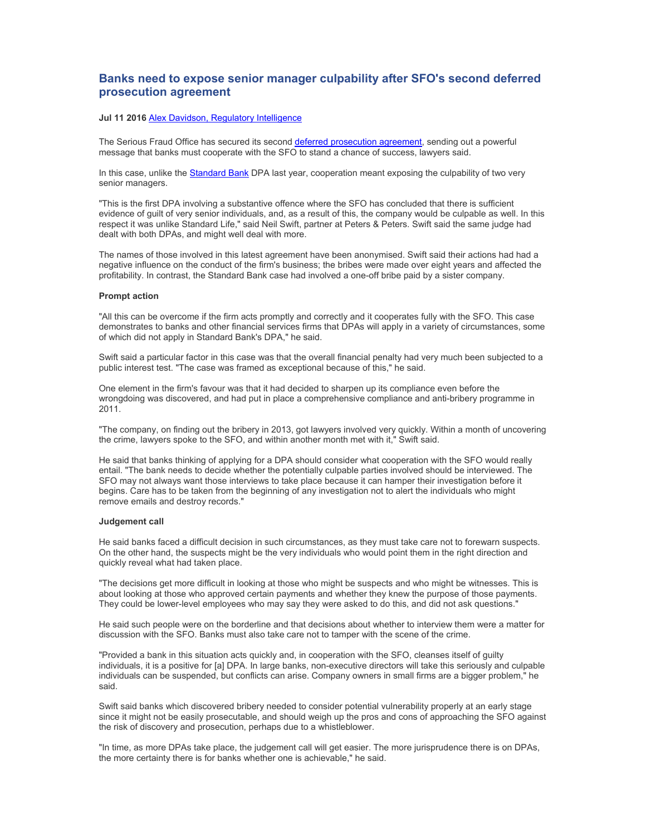## **Banks need to expose senior manager culpability after SFO's second deferred prosecution agreement**

## **Jul 11 2016** Alex Davidson, Regulatory Intelligence

The Serious Fraud Office has secured its second deferred prosecution agreement, sending out a powerful message that banks must cooperate with the SFO to stand a chance of success, lawyers said.

In this case, unlike the Standard Bank DPA last year, cooperation meant exposing the culpability of two very senior managers.

"This is the first DPA involving a substantive offence where the SFO has concluded that there is sufficient evidence of guilt of very senior individuals, and, as a result of this, the company would be culpable as well. In this respect it was unlike Standard Life," said Neil Swift, partner at Peters & Peters. Swift said the same judge had dealt with both DPAs, and might well deal with more.

The names of those involved in this latest agreement have been anonymised. Swift said their actions had had a negative influence on the conduct of the firm's business; the bribes were made over eight years and affected the profitability. In contrast, the Standard Bank case had involved a one-off bribe paid by a sister company.

## **Prompt action**

"All this can be overcome if the firm acts promptly and correctly and it cooperates fully with the SFO. This case demonstrates to banks and other financial services firms that DPAs will apply in a variety of circumstances, some of which did not apply in Standard Bank's DPA," he said.

Swift said a particular factor in this case was that the overall financial penalty had very much been subjected to a public interest test. "The case was framed as exceptional because of this," he said.

One element in the firm's favour was that it had decided to sharpen up its compliance even before the wrongdoing was discovered, and had put in place a comprehensive compliance and anti-bribery programme in 2011.

"The company, on finding out the bribery in 2013, got lawyers involved very quickly. Within a month of uncovering the crime, lawyers spoke to the SFO, and within another month met with it," Swift said.

He said that banks thinking of applying for a DPA should consider what cooperation with the SFO would really entail. "The bank needs to decide whether the potentially culpable parties involved should be interviewed. The SFO may not always want those interviews to take place because it can hamper their investigation before it begins. Care has to be taken from the beginning of any investigation not to alert the individuals who might remove emails and destroy records."

## **Judgement call**

He said banks faced a difficult decision in such circumstances, as they must take care not to forewarn suspects. On the other hand, the suspects might be the very individuals who would point them in the right direction and quickly reveal what had taken place.

"The decisions get more difficult in looking at those who might be suspects and who might be witnesses. This is about looking at those who approved certain payments and whether they knew the purpose of those payments. They could be lower-level employees who may say they were asked to do this, and did not ask questions."

He said such people were on the borderline and that decisions about whether to interview them were a matter for discussion with the SFO. Banks must also take care not to tamper with the scene of the crime.

"Provided a bank in this situation acts quickly and, in cooperation with the SFO, cleanses itself of guilty individuals, it is a positive for [a] DPA. In large banks, non-executive directors will take this seriously and culpable individuals can be suspended, but conflicts can arise. Company owners in small firms are a bigger problem," he said.

Swift said banks which discovered bribery needed to consider potential vulnerability properly at an early stage since it might not be easily prosecutable, and should weigh up the pros and cons of approaching the SFO against the risk of discovery and prosecution, perhaps due to a whistleblower.

"In time, as more DPAs take place, the judgement call will get easier. The more jurisprudence there is on DPAs, the more certainty there is for banks whether one is achievable," he said.